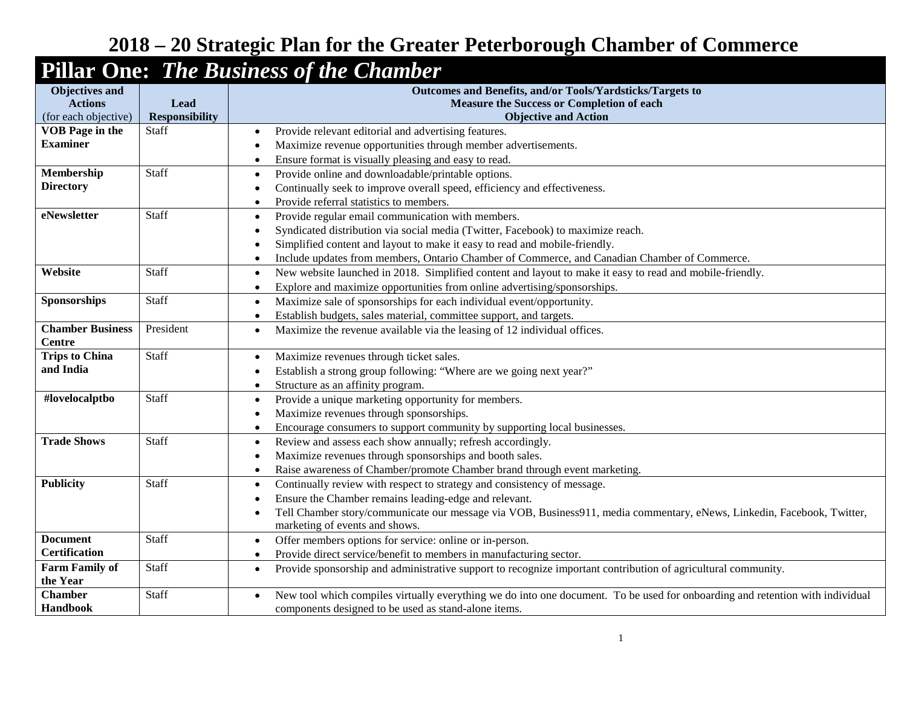## **2018 – 20 Strategic Plan for the Greater Peterborough Chamber of Commerce**

## **Pillar One:** *The Business of the Chamber*

| <b>Objectives and</b>                  |                               | Outcomes and Benefits, and/or Tools/Yardsticks/Targets to                                                                     |
|----------------------------------------|-------------------------------|-------------------------------------------------------------------------------------------------------------------------------|
| <b>Actions</b><br>(for each objective) | Lead<br><b>Responsibility</b> | Measure the Success or Completion of each<br><b>Objective and Action</b>                                                      |
| <b>VOB</b> Page in the                 | Staff                         | Provide relevant editorial and advertising features.<br>$\bullet$                                                             |
| <b>Examiner</b>                        |                               | Maximize revenue opportunities through member advertisements.                                                                 |
|                                        |                               | Ensure format is visually pleasing and easy to read.<br>$\bullet$                                                             |
| Membership                             | Staff                         | Provide online and downloadable/printable options.<br>$\bullet$                                                               |
| <b>Directory</b>                       |                               | Continually seek to improve overall speed, efficiency and effectiveness.                                                      |
|                                        |                               | Provide referral statistics to members.<br>O                                                                                  |
| eNewsletter                            | Staff                         | Provide regular email communication with members.<br>$\bullet$                                                                |
|                                        |                               | Syndicated distribution via social media (Twitter, Facebook) to maximize reach.                                               |
|                                        |                               | Simplified content and layout to make it easy to read and mobile-friendly.                                                    |
|                                        |                               | Include updates from members, Ontario Chamber of Commerce, and Canadian Chamber of Commerce.                                  |
| Website                                | Staff                         | New website launched in 2018. Simplified content and layout to make it easy to read and mobile-friendly.<br>$\bullet$         |
|                                        |                               | Explore and maximize opportunities from online advertising/sponsorships.                                                      |
| Sponsorships                           | Staff                         | Maximize sale of sponsorships for each individual event/opportunity.                                                          |
|                                        |                               | $\bullet$                                                                                                                     |
| <b>Chamber Business</b>                | President                     | Establish budgets, sales material, committee support, and targets.                                                            |
| <b>Centre</b>                          |                               | Maximize the revenue available via the leasing of 12 individual offices.                                                      |
| <b>Trips to China</b>                  | Staff                         | Maximize revenues through ticket sales.<br>$\bullet$                                                                          |
| and India                              |                               | Establish a strong group following: "Where are we going next year?"                                                           |
|                                        |                               | Structure as an affinity program.<br>$\bullet$                                                                                |
| #lovelocalptbo                         | Staff                         | Provide a unique marketing opportunity for members.<br>$\bullet$                                                              |
|                                        |                               | Maximize revenues through sponsorships.                                                                                       |
|                                        |                               | Encourage consumers to support community by supporting local businesses.<br>$\bullet$                                         |
| <b>Trade Shows</b>                     | Staff                         | Review and assess each show annually; refresh accordingly.<br>$\bullet$                                                       |
|                                        |                               | Maximize revenues through sponsorships and booth sales.                                                                       |
|                                        |                               | Raise awareness of Chamber/promote Chamber brand through event marketing.<br>$\bullet$                                        |
| <b>Publicity</b>                       | Staff                         | Continually review with respect to strategy and consistency of message.<br>$\bullet$                                          |
|                                        |                               | Ensure the Chamber remains leading-edge and relevant.                                                                         |
|                                        |                               | Tell Chamber story/communicate our message via VOB, Business911, media commentary, eNews, Linkedin, Facebook, Twitter,        |
|                                        |                               | marketing of events and shows.                                                                                                |
| <b>Document</b>                        | Staff                         | Offer members options for service: online or in-person.<br>$\bullet$                                                          |
| <b>Certification</b>                   |                               | Provide direct service/benefit to members in manufacturing sector.<br>$\bullet$                                               |
| <b>Farm Family of</b>                  | Staff                         | Provide sponsorship and administrative support to recognize important contribution of agricultural community.<br>$\bullet$    |
| the Year                               |                               |                                                                                                                               |
| <b>Chamber</b>                         | Staff                         | New tool which compiles virtually everything we do into one document. To be used for onboarding and retention with individual |
| Handbook                               |                               | components designed to be used as stand-alone items.                                                                          |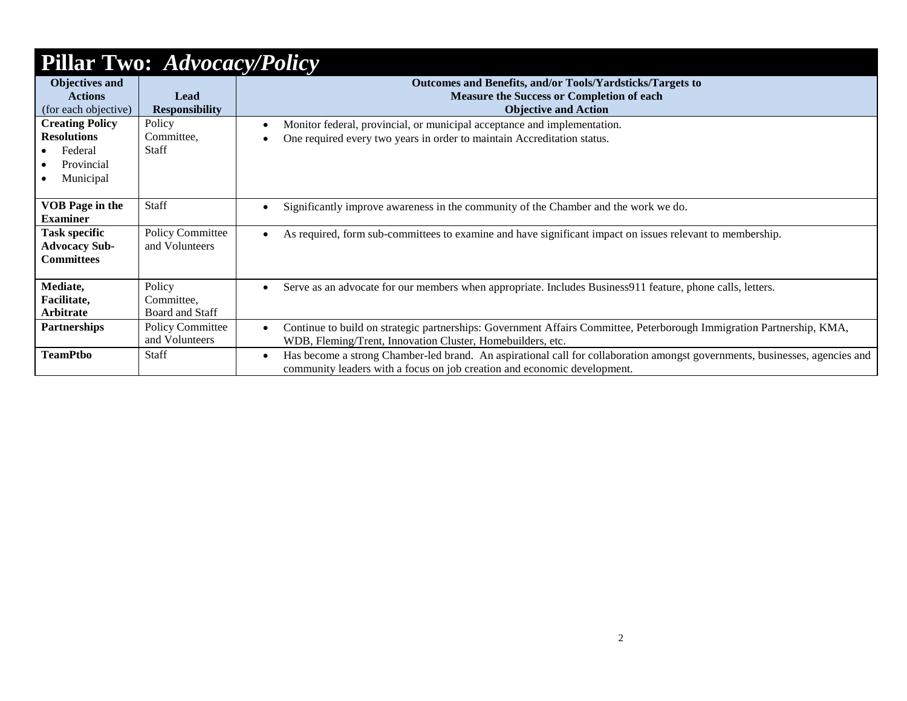| <b>Pillar Two: Advocacy/Policy</b> |                         |                                                                                                                                                                                                                      |  |  |  |
|------------------------------------|-------------------------|----------------------------------------------------------------------------------------------------------------------------------------------------------------------------------------------------------------------|--|--|--|
| <b>Objectives and</b>              |                         | Outcomes and Benefits, and/or Tools/Yardsticks/Targets to                                                                                                                                                            |  |  |  |
| <b>Actions</b>                     | Lead                    | <b>Measure the Success or Completion of each</b>                                                                                                                                                                     |  |  |  |
| (for each objective)               | <b>Responsibility</b>   | <b>Objective and Action</b>                                                                                                                                                                                          |  |  |  |
| <b>Creating Policy</b>             | Policy                  | Monitor federal, provincial, or municipal acceptance and implementation.                                                                                                                                             |  |  |  |
| <b>Resolutions</b>                 | Committee,              | One required every two years in order to maintain Accreditation status.                                                                                                                                              |  |  |  |
| Federal                            | Staff                   |                                                                                                                                                                                                                      |  |  |  |
| Provincial                         |                         |                                                                                                                                                                                                                      |  |  |  |
| Municipal                          |                         |                                                                                                                                                                                                                      |  |  |  |
|                                    |                         |                                                                                                                                                                                                                      |  |  |  |
| <b>VOB Page in the</b>             | <b>Staff</b>            | Significantly improve awareness in the community of the Chamber and the work we do.<br>$\bullet$                                                                                                                     |  |  |  |
| <b>Examiner</b>                    |                         |                                                                                                                                                                                                                      |  |  |  |
| <b>Task specific</b>               | <b>Policy Committee</b> | As required, form sub-committees to examine and have significant impact on issues relevant to membership.<br>$\bullet$                                                                                               |  |  |  |
| <b>Advocacy Sub-</b>               | and Volunteers          |                                                                                                                                                                                                                      |  |  |  |
| Committees                         |                         |                                                                                                                                                                                                                      |  |  |  |
|                                    |                         |                                                                                                                                                                                                                      |  |  |  |
| Mediate,                           | Policy                  | Serve as an advocate for our members when appropriate. Includes Business911 feature, phone calls, letters.<br>$\bullet$                                                                                              |  |  |  |
| Facilitate,                        | Committee,              |                                                                                                                                                                                                                      |  |  |  |
| Arbitrate                          | <b>Board and Staff</b>  |                                                                                                                                                                                                                      |  |  |  |
| <b>Partnerships</b>                | <b>Policy Committee</b> | Continue to build on strategic partnerships: Government Affairs Committee, Peterborough Immigration Partnership, KMA,<br>$\bullet$                                                                                   |  |  |  |
|                                    | and Volunteers          | WDB, Fleming/Trent, Innovation Cluster, Homebuilders, etc.                                                                                                                                                           |  |  |  |
| <b>TeamPtbo</b>                    | Staff                   | Has become a strong Chamber-led brand. An aspirational call for collaboration amongst governments, businesses, agencies and<br>$\bullet$<br>community leaders with a focus on job creation and economic development. |  |  |  |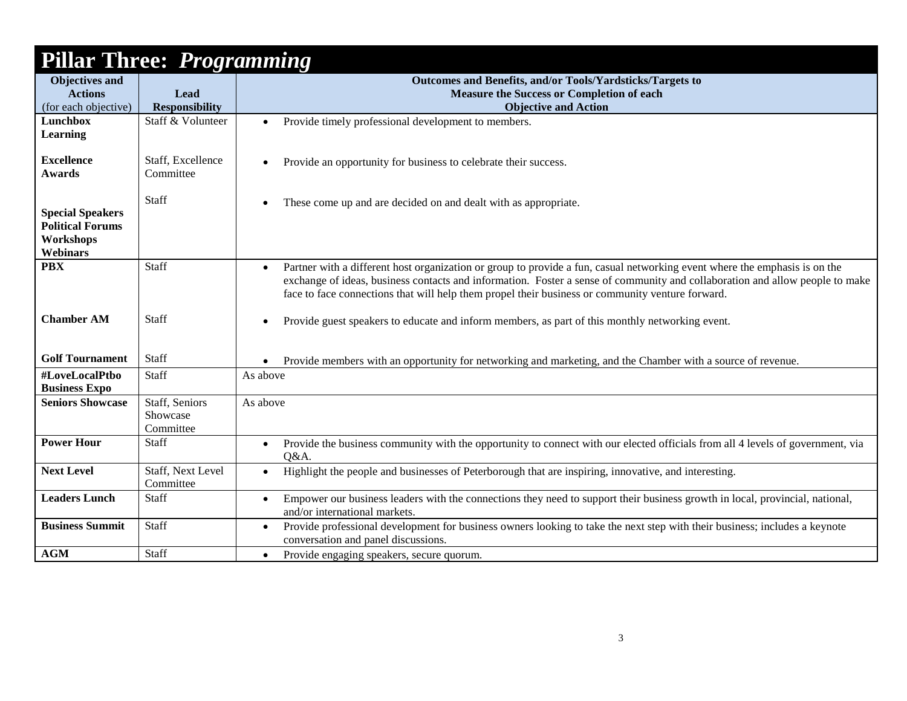| <b>Pillar Three: Programming</b>                                                   |                                         |                                                                                                                                                                                                                                                                                                                                                                             |  |  |  |
|------------------------------------------------------------------------------------|-----------------------------------------|-----------------------------------------------------------------------------------------------------------------------------------------------------------------------------------------------------------------------------------------------------------------------------------------------------------------------------------------------------------------------------|--|--|--|
| <b>Objectives and</b>                                                              |                                         | Outcomes and Benefits, and/or Tools/Yardsticks/Targets to                                                                                                                                                                                                                                                                                                                   |  |  |  |
| <b>Actions</b>                                                                     | Lead                                    | <b>Measure the Success or Completion of each</b>                                                                                                                                                                                                                                                                                                                            |  |  |  |
| (for each objective)                                                               | <b>Responsibility</b>                   | <b>Objective and Action</b>                                                                                                                                                                                                                                                                                                                                                 |  |  |  |
| Lunchbox<br><b>Learning</b>                                                        | Staff & Volunteer                       | Provide timely professional development to members.<br>$\bullet$                                                                                                                                                                                                                                                                                                            |  |  |  |
| <b>Excellence</b><br><b>Awards</b>                                                 | Staff, Excellence<br>Committee          | Provide an opportunity for business to celebrate their success.<br>$\bullet$                                                                                                                                                                                                                                                                                                |  |  |  |
| <b>Special Speakers</b><br><b>Political Forums</b><br>Workshops<br><b>Webinars</b> | Staff                                   | These come up and are decided on and dealt with as appropriate.                                                                                                                                                                                                                                                                                                             |  |  |  |
| <b>PBX</b>                                                                         | Staff                                   | Partner with a different host organization or group to provide a fun, casual networking event where the emphasis is on the<br>$\bullet$<br>exchange of ideas, business contacts and information. Foster a sense of community and collaboration and allow people to make<br>face to face connections that will help them propel their business or community venture forward. |  |  |  |
| <b>Chamber AM</b>                                                                  | Staff                                   | Provide guest speakers to educate and inform members, as part of this monthly networking event.                                                                                                                                                                                                                                                                             |  |  |  |
| <b>Golf Tournament</b>                                                             | Staff                                   | Provide members with an opportunity for networking and marketing, and the Chamber with a source of revenue.                                                                                                                                                                                                                                                                 |  |  |  |
| #LoveLocalPtbo<br><b>Business Expo</b>                                             | Staff                                   | As above                                                                                                                                                                                                                                                                                                                                                                    |  |  |  |
| <b>Seniors Showcase</b>                                                            | Staff, Seniors<br>Showcase<br>Committee | As above                                                                                                                                                                                                                                                                                                                                                                    |  |  |  |
| <b>Power Hour</b>                                                                  | Staff                                   | Provide the business community with the opportunity to connect with our elected officials from all 4 levels of government, via<br>$\bullet$<br>Q&A.                                                                                                                                                                                                                         |  |  |  |
| <b>Next Level</b>                                                                  | Staff, Next Level<br>Committee          | Highlight the people and businesses of Peterborough that are inspiring, innovative, and interesting.<br>$\bullet$                                                                                                                                                                                                                                                           |  |  |  |
| <b>Leaders Lunch</b>                                                               | Staff                                   | Empower our business leaders with the connections they need to support their business growth in local, provincial, national,<br>$\bullet$<br>and/or international markets.                                                                                                                                                                                                  |  |  |  |
| <b>Business Summit</b>                                                             | Staff                                   | Provide professional development for business owners looking to take the next step with their business; includes a keynote<br>conversation and panel discussions.                                                                                                                                                                                                           |  |  |  |
| AGM                                                                                | Staff                                   | Provide engaging speakers, secure quorum.<br>$\bullet$                                                                                                                                                                                                                                                                                                                      |  |  |  |